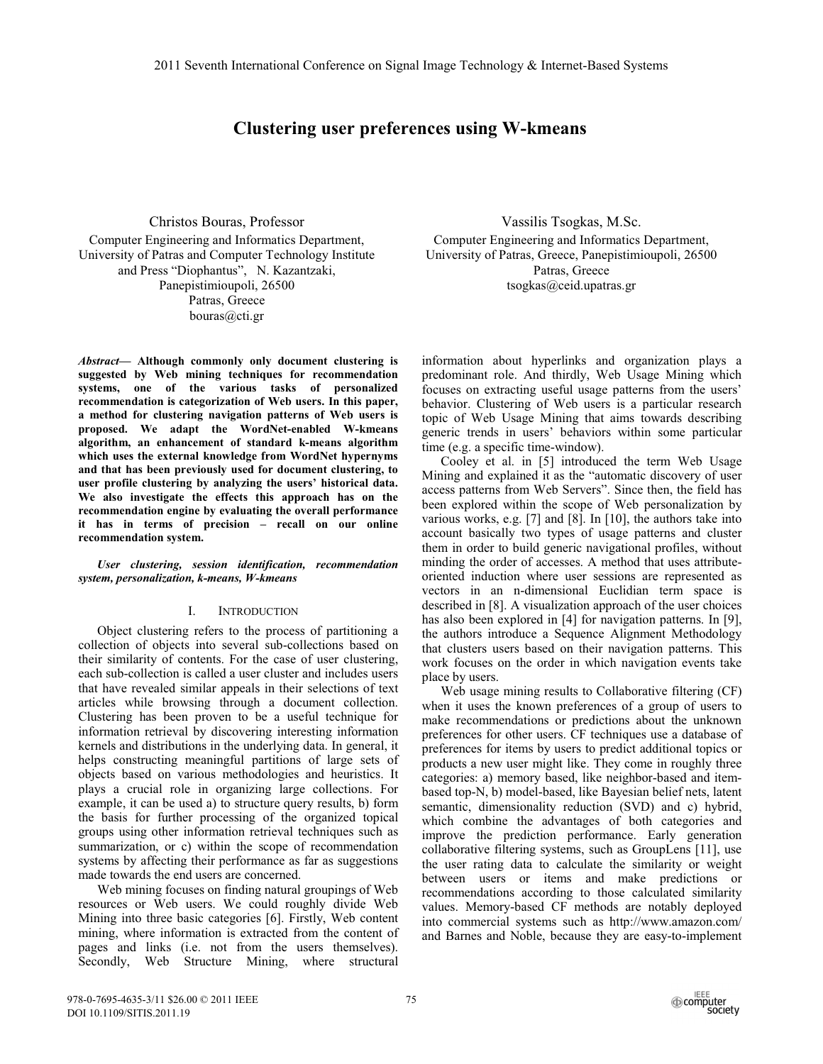# **Clustering user preferences using W-kmeans**

Christos Bouras, Professor Computer Engineering and Informatics Department, University of Patras and Computer Technology Institute and Press "Diophantus", N. Kazantzaki, Panepistimioupoli, 26500 Patras, Greece bouras@cti.gr

Abstract- Although commonly only document clustering is suggested by Web mining techniques for recommendation systems, one of the various tasks of personalized recommendation is categorization of Web users. In this paper, a method for clustering navigation patterns of Web users is proposed. We adapt the WordNet-enabled W-kmeans algorithm, an enhancement of standard k-means algorithm which uses the external knowledge from WordNet hypernyms and that has been previously used for document clustering, to user profile clustering by analyzing the users' historical data. We also investigate the effects this approach has on the recommendation engine by evaluating the overall performance it has in terms of precision - recall on our online recommendation system.

User clustering, session identification, recommendation system, personalization, k-means, W-kmeans

#### **INTRODUCTION**  $\mathbf{I}$

Object clustering refers to the process of partitioning a collection of objects into several sub-collections based on their similarity of contents. For the case of user clustering, each sub-collection is called a user cluster and includes users that have revealed similar appeals in their selections of text articles while browsing through a document collection. Clustering has been proven to be a useful technique for information retrieval by discovering interesting information kernels and distributions in the underlying data. In general, it helps constructing meaningful partitions of large sets of objects based on various methodologies and heuristics. It plays a crucial role in organizing large collections. For example, it can be used a) to structure query results, b) form the basis for further processing of the organized topical groups using other information retrieval techniques such as summarization, or c) within the scope of recommendation systems by affecting their performance as far as suggestions made towards the end users are concerned.

Web mining focuses on finding natural groupings of Web resources or Web users. We could roughly divide Web Mining into three basic categories [6]. Firstly, Web content mining, where information is extracted from the content of pages and links (i.e. not from the users themselves). Secondly, Web Structure Mining, where structural

Vassilis Tsogkas, M.Sc. Computer Engineering and Informatics Department, University of Patras, Greece, Panepistimioupoli, 26500 Patras, Greece tsogkas@ceid.upatras.gr

information about hyperlinks and organization plays a predominant role. And thirdly, Web Usage Mining which focuses on extracting useful usage patterns from the users' behavior. Clustering of Web users is a particular research topic of Web Usage Mining that aims towards describing generic trends in users' behaviors within some particular time (e.g. a specific time-window).

Cooley et al. in [5] introduced the term Web Usage Mining and explained it as the "automatic discovery of user access patterns from Web Servers". Since then, the field has been explored within the scope of Web personalization by various works, e.g. [7] and [8]. In [10], the authors take into account basically two types of usage patterns and cluster them in order to build generic navigational profiles, without minding the order of accesses. A method that uses attributeoriented induction where user sessions are represented as vectors in an n-dimensional Euclidian term space is described in [8]. A visualization approach of the user choices has also been explored in [4] for navigation patterns. In [9], the authors introduce a Sequence Alignment Methodology that clusters users based on their navigation patterns. This work focuses on the order in which navigation events take place by users.

Web usage mining results to Collaborative filtering (CF) when it uses the known preferences of a group of users to make recommendations or predictions about the unknown preferences for other users. CF techniques use a database of preferences for items by users to predict additional topics or products a new user might like. They come in roughly three categories: a) memory based, like neighbor-based and itembased top-N, b) model-based, like Bayesian belief nets, latent semantic, dimensionality reduction (SVD) and c) hybrid, which combine the advantages of both categories and improve the prediction performance. Early generation collaborative filtering systems, such as GroupLens [11], use the user rating data to calculate the similarity or weight between users or items and make predictions or recommendations according to those calculated similarity values. Memory-based CF methods are notably deployed into commercial systems such as http://www.amazon.com/ and Barnes and Noble, because they are easy-to-implement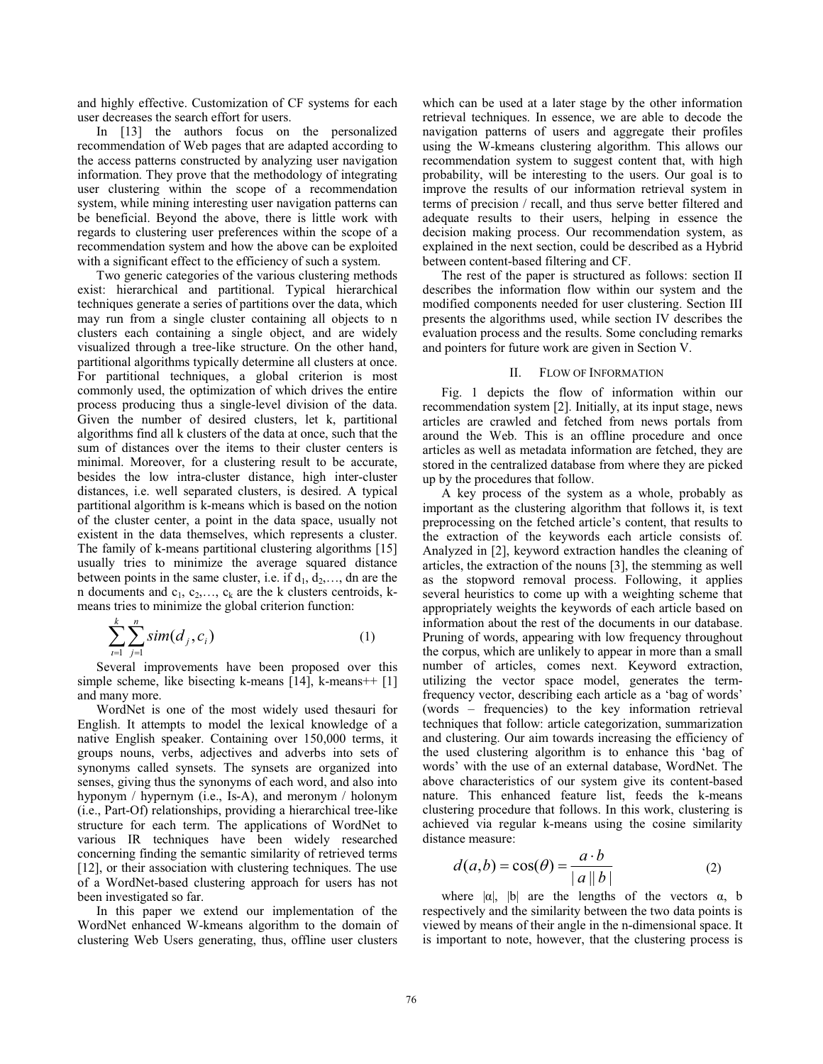and highly effective. Customization of CF systems for each user decreases the search effort for users.

In [13] the authors focus on the personalized recommendation of Web pages that are adapted according to the access patterns constructed by analyzing user navigation information. They prove that the methodology of integrating user clustering within the scope of a recommendation system, while mining interesting user navigation patterns can be beneficial. Beyond the above, there is little work with regards to clustering user preferences within the scope of a recommendation system and how the above can be exploited with a significant effect to the efficiency of such a system.

Two generic categories of the various clustering methods exist: hierarchical and partitional. Typical hierarchical techniques generate a series of partitions over the data, which may run from a single cluster containing all objects to n clusters each containing a single object, and are widely visualized through a tree-like structure. On the other hand, partitional algorithms typically determine all clusters at once. For partitional techniques, a global criterion is most commonly used, the optimization of which drives the entire process producing thus a single-level division of the data. Given the number of desired clusters, let k, partitional algorithms find all k clusters of the data at once, such that the sum of distances over the items to their cluster centers is minimal. Moreover, for a clustering result to be accurate, besides the low intra-cluster distance, high inter-cluster distances, i.e. well separated clusters, is desired. A typical partitional algorithm is k-means which is based on the notion of the cluster center, a point in the data space, usually not existent in the data themselves, which represents a cluster. The family of k-means partitional clustering algorithms [15] usually tries to minimize the average squared distance between points in the same cluster, i.e. if  $d_1, d_2, \ldots$ , dn are the n documents and  $c_1, c_2, \ldots, c_k$  are the k clusters centroids, kmeans tries to minimize the global criterion function:

$$
\sum_{i=1}^{k} \sum_{j=1}^{n} sim(d_j, c_i)
$$
 (1)

Several improvements have been proposed over this simple scheme, like bisecting k-means  $[14]$ , k-means++  $[1]$ and many more.

WordNet is one of the most widely used thesauri for English. It attempts to model the lexical knowledge of a native English speaker. Containing over 150,000 terms, it groups nouns, verbs, adjectives and adverbs into sets of synonyms called synsets. The synsets are organized into senses, giving thus the synonyms of each word, and also into hyponym / hypernym (i.e., Is-A), and meronym / holonym (i.e., Part-Of) relationships, providing a hierarchical tree-like structure for each term. The applications of WordNet to various IR techniques have been widely researched concerning finding the semantic similarity of retrieved terms [12], or their association with clustering techniques. The use of a WordNet-based clustering approach for users has not been investigated so far.

In this paper we extend our implementation of the WordNet enhanced W-kmeans algorithm to the domain of clustering Web Users generating, thus, offline user clusters which can be used at a later stage by the other information retrieval techniques. In essence, we are able to decode the navigation patterns of users and aggregate their profiles using the W-kmeans clustering algorithm. This allows our recommendation system to suggest content that, with high probability, will be interesting to the users. Our goal is to improve the results of our information retrieval system in terms of precision / recall, and thus serve better filtered and adequate results to their users, helping in essence the decision making process. Our recommendation system, as explained in the next section, could be described as a Hybrid between content-based filtering and CF.

The rest of the paper is structured as follows: section II describes the information flow within our system and the modified components needed for user clustering. Section III presents the algorithms used, while section IV describes the evaluation process and the results. Some concluding remarks and pointers for future work are given in Section V.

#### **FLOW OF INFORMATION**  $II.$

Fig. 1 depicts the flow of information within our recommendation system [2]. Initially, at its input stage, news articles are crawled and fetched from news portals from around the Web. This is an offline procedure and once articles as well as metadata information are fetched, they are stored in the centralized database from where they are picked up by the procedures that follow.

A key process of the system as a whole, probably as important as the clustering algorithm that follows it, is text preprocessing on the fetched article's content, that results to the extraction of the keywords each article consists of. Analyzed in [2], keyword extraction handles the cleaning of articles, the extraction of the nouns [3], the stemming as well as the stopword removal process. Following, it applies several heuristics to come up with a weighting scheme that appropriately weights the keywords of each article based on information about the rest of the documents in our database. Pruning of words, appearing with low frequency throughout the corpus, which are unlikely to appear in more than a small number of articles, comes next. Keyword extraction, utilizing the vector space model, generates the termfrequency vector, describing each article as a 'bag of words' (words – frequencies) to the key information retrieval techniques that follow: article categorization, summarization and clustering. Our aim towards increasing the efficiency of the used clustering algorithm is to enhance this 'bag of words' with the use of an external database, WordNet. The above characteristics of our system give its content-based nature. This enhanced feature list, feeds the k-means clustering procedure that follows. In this work, clustering is achieved via regular k-means using the cosine similarity distance measure:

$$
d(a,b) = \cos(\theta) = \frac{a \cdot b}{|a||b|} \tag{2}
$$

where  $|\alpha|$ ,  $|b|$  are the lengths of the vectors  $\alpha$ , b respectively and the similarity between the two data points is viewed by means of their angle in the n-dimensional space. It is important to note, however, that the clustering process is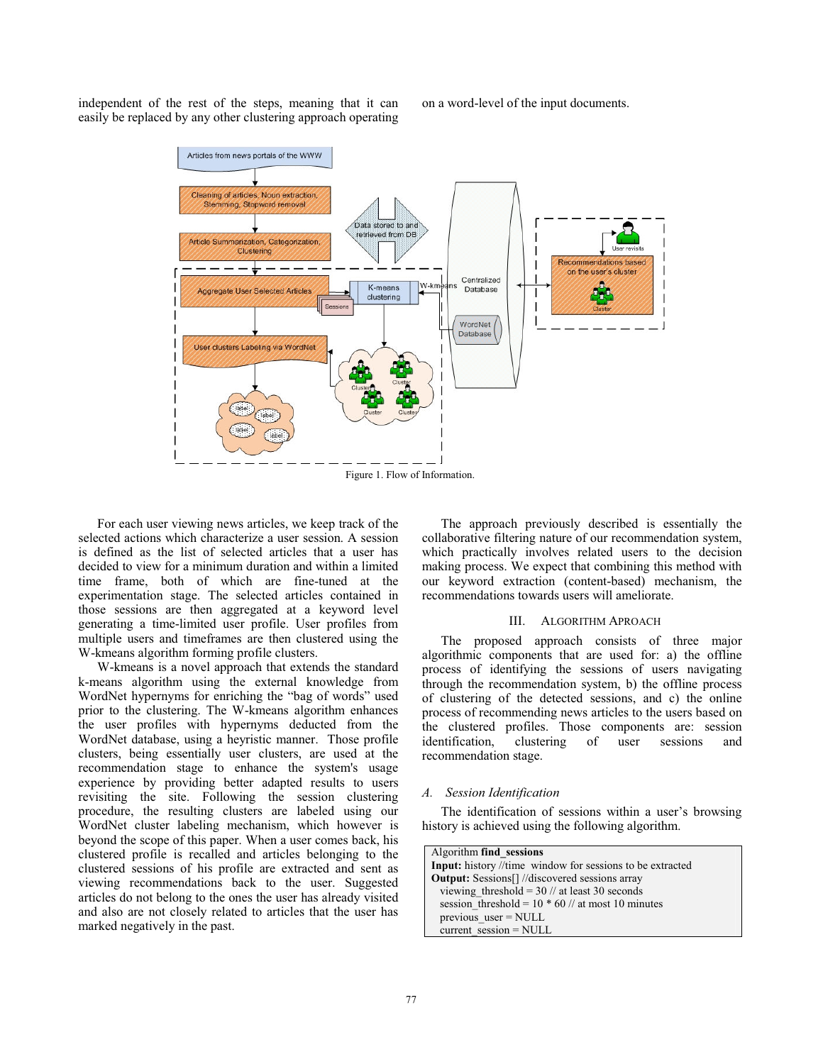independent of the rest of the steps, meaning that it can easily be replaced by any other clustering approach operating on a word-level of the input documents.



For each user viewing news articles, we keep track of the selected actions which characterize a user session. A session is defined as the list of selected articles that a user has decided to view for a minimum duration and within a limited time frame, both of which are fine-tuned at the experimentation stage. The selected articles contained in those sessions are then aggregated at a keyword level generating a time-limited user profile. User profiles from multiple users and timeframes are then clustered using the W-kmeans algorithm forming profile clusters.

W-kmeans is a novel approach that extends the standard k-means algorithm using the external knowledge from WordNet hypernyms for enriching the "bag of words" used prior to the clustering. The W-kmeans algorithm enhances the user profiles with hypernyms deducted from the WordNet database, using a heyristic manner. Those profile clusters, being essentially user clusters, are used at the recommendation stage to enhance the system's usage experience by providing better adapted results to users revisiting the site. Following the session clustering procedure, the resulting clusters are labeled using our WordNet cluster labeling mechanism, which however is beyond the scope of this paper. When a user comes back, his clustered profile is recalled and articles belonging to the clustered sessions of his profile are extracted and sent as viewing recommendations back to the user. Suggested articles do not belong to the ones the user has already visited and also are not closely related to articles that the user has marked negatively in the past.

The approach previously described is essentially the collaborative filtering nature of our recommendation system, which practically involves related users to the decision making process. We expect that combining this method with our keyword extraction (content-based) mechanism, the recommendations towards users will ameliorate.

#### **ALGORITHM APROACH**  $III$

The proposed approach consists of three major algorithmic components that are used for: a) the offline process of identifying the sessions of users navigating through the recommendation system, b) the offline process of clustering of the detected sessions, and c) the online process of recommending news articles to the users based on the clustered profiles. Those components are: session sessions identification. clustering of user and recommendation stage.

## A. Session Identification

The identification of sessions within a user's browsing history is achieved using the following algorithm.

| Algorithm find sessions                                   |
|-----------------------------------------------------------|
| Input: history //time window for sessions to be extracted |
| <b>Output:</b> Sessions[]//discovered sessions array      |
| viewing threshold = $30$ // at least 30 seconds           |
| session threshold = $10 * 60$ // at most 10 minutes       |
| previous $user = NULL$                                    |
| current $session = NULL$                                  |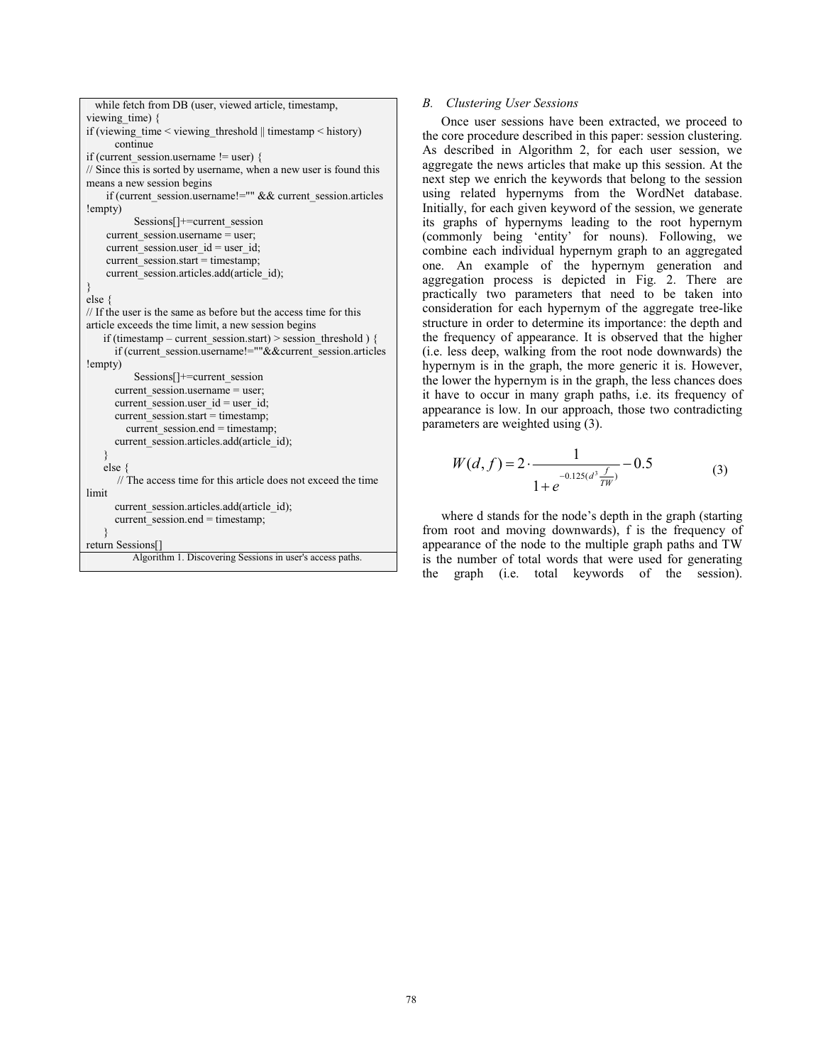```
while fetch from DB (user, viewed article, timestamp,
viewing time) {
if (viewing time \le viewing threshold \parallel timestamp \le history)
      continue
if (current session, username != user) {
// Since this is sorted by username, when a new user is found this
means a new session begins
    if (current session.username!="" && current session.articles
!empty)
          Sessions[]+=current_session
    current session.username = user;
    current session, user id = user id;
    current session.start = timestamp;
    current session.articles.add(article id);
else \ell// If the user is the same as before but the access time for this
article exceeds the time limit, a new session begins
   if (timestamp – current session.start) > session threshold) {
      if (current session.username!=""&&current session.articles
!empty)
          Sessions[]+=current session
      current session.username = user;
      current_session.user_id = user_id;
      current session.start = timestamp;
         current session.end = timestamp;
      current session.articles.add(article id);
   else \{// The access time for this article does not exceed the time
limit
      current session.articles.add(article id);
      current session.end = timestamp;
    ł
return Sessions[]
          Algorithm 1. Discovering Sessions in user's access paths.
```
# **B.** Clustering User Sessions

Once user sessions have been extracted, we proceed to the core procedure described in this paper: session clustering. As described in Algorithm 2, for each user session, we aggregate the news articles that make up this session. At the next step we enrich the keywords that belong to the session using related hypernyms from the WordNet database. Initially, for each given keyword of the session, we generate its graphs of hypernyms leading to the root hypernym (commonly being 'entity' for nouns). Following, we combine each individual hypernym graph to an aggregated one. An example of the hypernym generation and aggregation process is depicted in Fig. 2. There are practically two parameters that need to be taken into consideration for each hypernym of the aggregate tree-like structure in order to determine its importance: the depth and the frequency of appearance. It is observed that the higher (i.e. less deep, walking from the root node downwards) the hypernym is in the graph, the more generic it is. However, the lower the hypernym is in the graph, the less chances does it have to occur in many graph paths, i.e. its frequency of appearance is low. In our approach, those two contradicting parameters are weighted using (3).

$$
W(d, f) = 2 \cdot \frac{1}{1 + e^{-0.125(d^3 \frac{f}{TW})}} - 0.5
$$
 (3)

where d stands for the node's depth in the graph (starting from root and moving downwards), f is the frequency of appearance of the node to the multiple graph paths and TW is the number of total words that were used for generating the graph (i.e. total keywords of the session).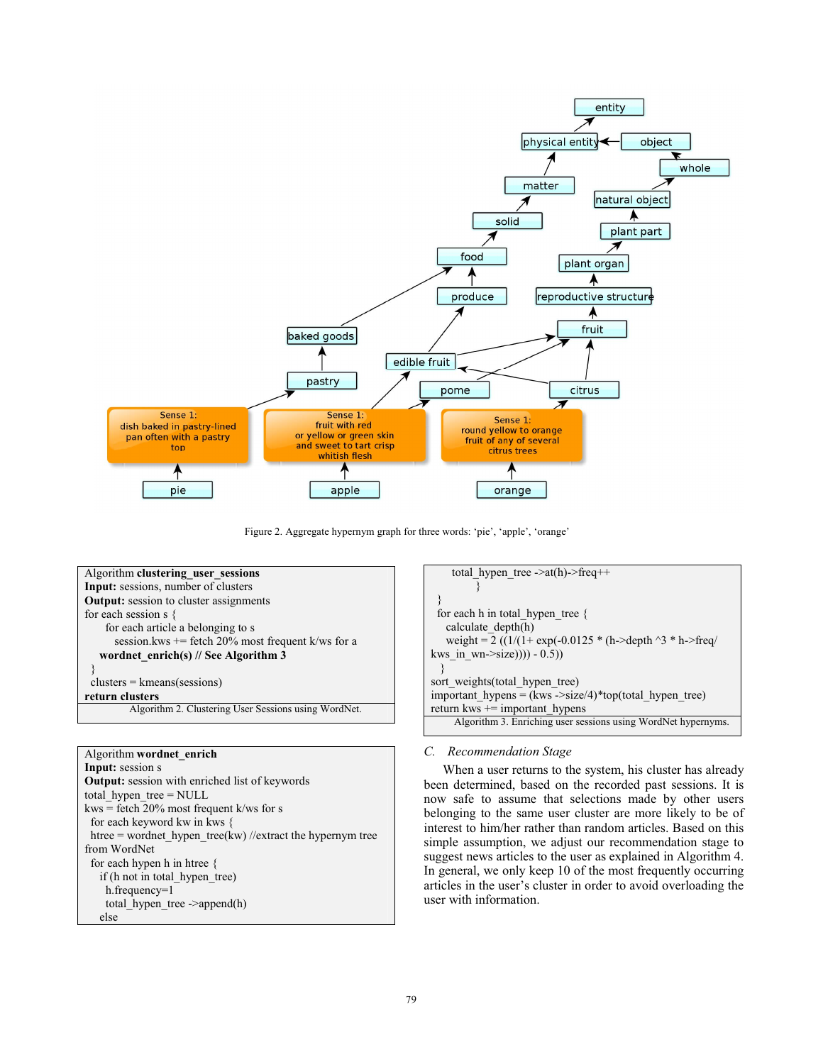

Figure 2. Aggregate hypernym graph for three words: 'pie', 'apple', 'orange'

| Algorithm clustering user sessions                   |
|------------------------------------------------------|
| Input: sessions, number of clusters                  |
| <b>Output:</b> session to cluster assignments        |
| for each session $s \}$                              |
| for each article a belonging to s                    |
| session.kws $+=$ fetch 20% most frequent k/ws for a  |
| wordnet enrich(s) $\frac{1}{s}$ See Algorithm 3      |
|                                                      |
| $clusters = kmeans(sessions)$                        |
| return clusters                                      |
| Algorithm 2. Clustering User Sessions using WordNet. |
|                                                      |

# Algorithm wordnet enrich Input: session s **Output:** session with enriched list of keywords total hypen tree =  $NULL$ kws = fetch  $20\%$  most frequent k/ws for s for each keyword kw in kws { htree = wordnet\_hypen\_tree(kw) //extract the hypernym tree from WordNet for each hypen h in htree { if (h not in total\_hypen\_tree) h.frequency=1 total hypen tree->append(h) else

| total hypen tree -> $at(h)$ ->freq++                                        |
|-----------------------------------------------------------------------------|
|                                                                             |
|                                                                             |
| for each h in total hypen tree $\{$                                         |
| calculate depth(h)                                                          |
| weight = $2((1/(1 + \exp(-0.0125 * (h-)depth \wedge 3 * h-)freq/\sqrt{2}))$ |
| kws in wn- $>$ size)))) - 0.5))                                             |
|                                                                             |
| sort weights (total hypen tree)                                             |
| important hypens = $(kws - size/4)$ <sup>*</sup> top(total hypen tree)      |
| return kws $+=$ important hypens                                            |
| Algorithm 3. Enriching user sessions using WordNet hypernyms.               |

# C. Recommendation Stage

When a user returns to the system, his cluster has already been determined, based on the recorded past sessions. It is now safe to assume that selections made by other users belonging to the same user cluster are more likely to be of interest to him/her rather than random articles. Based on this simple assumption, we adjust our recommendation stage to suggest news articles to the user as explained in Algorithm 4. In general, we only keep 10 of the most frequently occurring articles in the user's cluster in order to avoid overloading the user with information.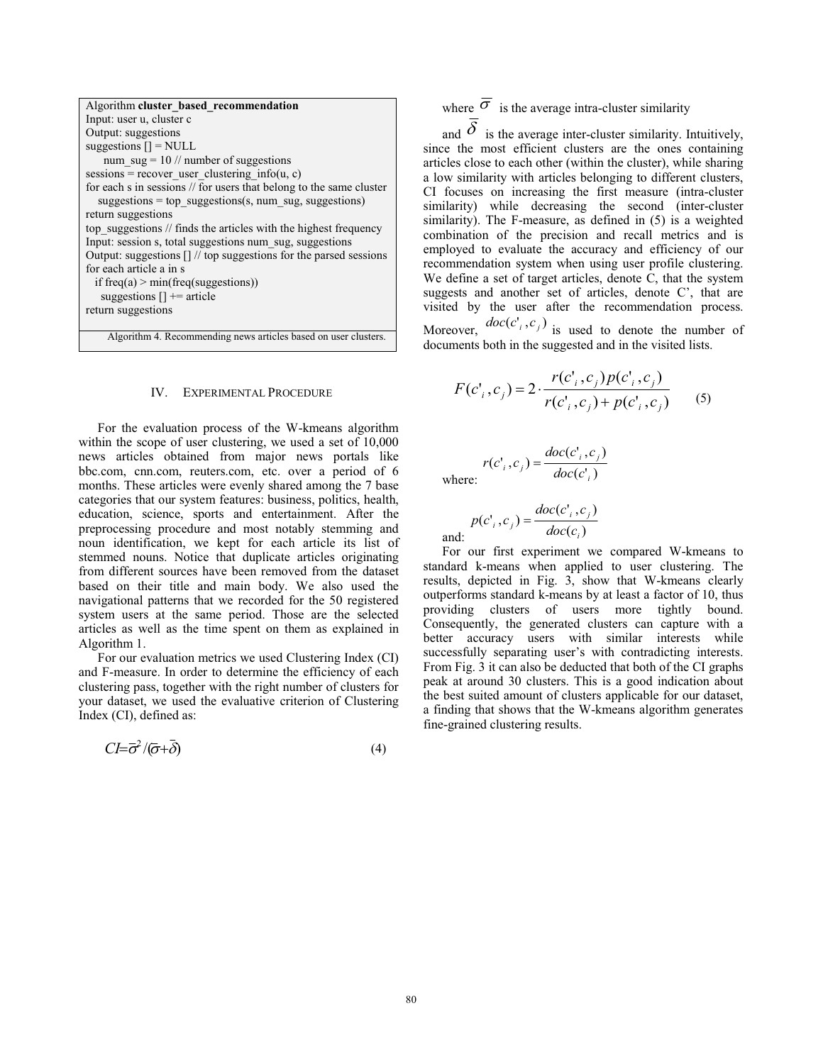| Algorithm cluster based recommendation                              |
|---------------------------------------------------------------------|
| Input: user u, cluster c                                            |
| Output: suggestions                                                 |
| suggestions $[] = NULL$                                             |
| num $\text{sug} = 10$ // number of suggestions                      |
| sessions = recover user clustering info(u, c)                       |
| for each s in sessions // for users that belong to the same cluster |
| suggestions = top suggestions(s, num sug, suggestions)              |
| return suggestions                                                  |
| top suggestions // finds the articles with the highest frequency    |
| Input: session s, total suggestions num sug, suggestions            |
| Output: suggestions [] // top suggestions for the parsed sessions   |
| for each article a in s                                             |
| if freq(a) > min(freq(suggestions))                                 |
| suggestions $[$ + = article                                         |
| return suggestions                                                  |
|                                                                     |
| Algorithm 4. Recommending news articles based on user clusters.     |

### IV. EXPERIMENTAL PROCEDURE

For the evaluation process of the W-kmeans algorithm within the scope of user clustering, we used a set of 10,000 news articles obtained from major news portals like bbc.com, cnn.com, reuters.com, etc. over a period of 6 months. These articles were evenly shared among the 7 base categories that our system features: business, politics, health, education, science, sports and entertainment. After the preprocessing procedure and most notably stemming and noun identification, we kept for each article its list of stemmed nouns. Notice that duplicate articles originating from different sources have been removed from the dataset based on their title and main body. We also used the navigational patterns that we recorded for the 50 registered system users at the same period. Those are the selected articles as well as the time spent on them as explained in Algorithm 1.

For our evaluation metrics we used Clustering Index (CI) and F-measure. In order to determine the efficiency of each clustering pass, together with the right number of clusters for your dataset, we used the evaluative criterion of Clustering Index (CI), defined as:

$$
CI = \overline{\sigma}^2 / (\overline{\sigma} + \overline{\delta}) \tag{4}
$$

where  $\overline{\sigma}$  is the average intra-cluster similarity

and  $\delta$  is the average inter-cluster similarity. Intuitively, since the most efficient clusters are the ones containing articles close to each other (within the cluster), while sharing a low similarity with articles belonging to different clusters, CI focuses on increasing the first measure (intra-cluster similarity) while decreasing the second (inter-cluster similarity). The F-measure, as defined in (5) is a weighted combination of the precision and recall metrics and is employed to evaluate the accuracy and efficiency of our recommendation system when using user profile clustering. We define a set of target articles, denote  $\tilde{C}$ , that the system suggests and another set of articles, denote C', that are visited by the user after the recommendation process. Moreover,  $doc(c_i', c_j)$  is used to denote the number of

documents both in the suggested and in the visited lists.

$$
F(c'_i, c_j) = 2 \cdot \frac{r(c'_i, c_j) p(c'_i, c_j)}{r(c'_i, c_j) + p(c'_i, c_j)}
$$
(5)

 $r(c', c_j) = \frac{doc(c', c_j)}{doc(c')},$ where:

and:

$$
p(c'_i, c_j) = \frac{doc(c'_i, c_j)}{doc(c_i)}
$$

For our first experiment we compared W-kmeans to standard k-means when applied to user clustering. The results, depicted in Fig. 3, show that W-kmeans clearly outperforms standard k-means by at least a factor of 10, thus providing clusters of users more tightly bound. Consequently, the generated clusters can capture with a better accuracy users with similar interests while successfully separating user's with contradicting interests. From Fig. 3 it can also be deducted that both of the CI graphs peak at around 30 clusters. This is a good indication about the best suited amount of clusters applicable for our dataset, a finding that shows that the W-kmeans algorithm generates fine-grained clustering results.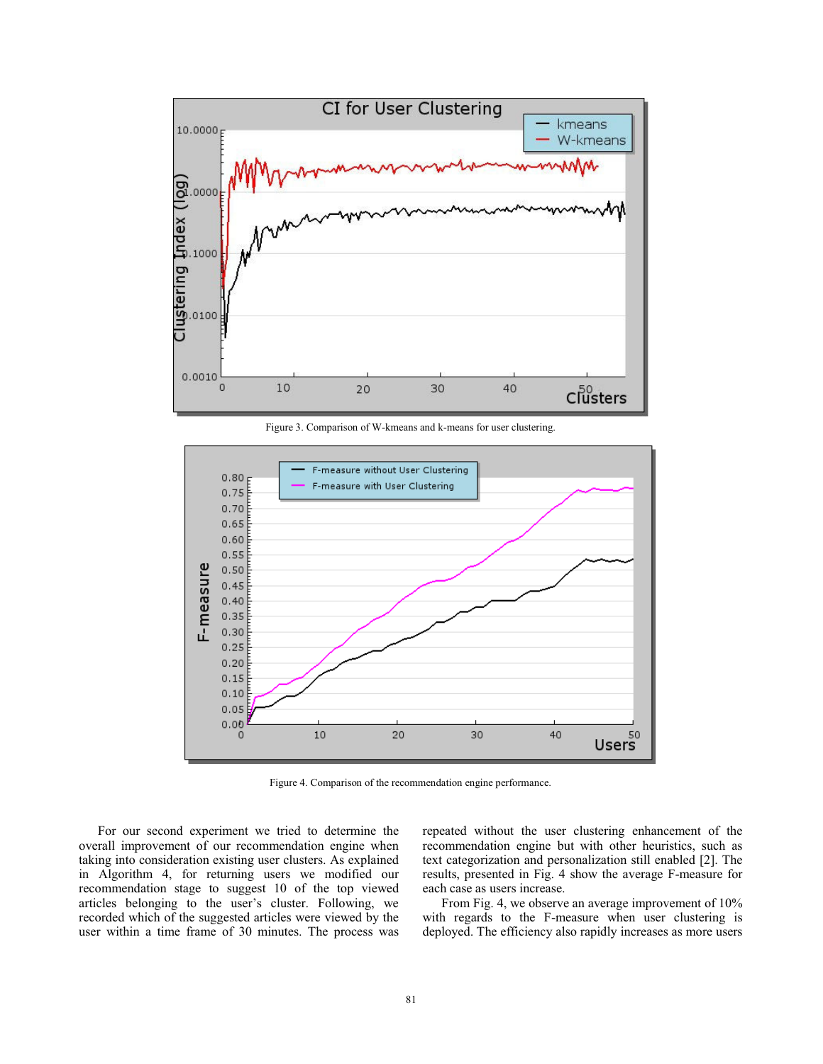

Figure 3. Comparison of W-kmeans and k-means for user clustering.



Figure 4. Comparison of the recommendation engine performance.

For our second experiment we tried to determine the overall improvement of our recommendation engine when taking into consideration existing user clusters. As explained in Algorithm 4, for returning users we modified our recommendation stage to suggest 10 of the top viewed articles belonging to the user's cluster. Following, we recorded which of the suggested articles were viewed by the user within a time frame of 30 minutes. The process was repeated without the user clustering enhancement of the recommendation engine but with other heuristics, such as text categorization and personalization still enabled [2]. The results, presented in Fig. 4 show the average F-measure for each case as users increase.

From Fig. 4, we observe an average improvement of 10% with regards to the F-measure when user clustering is deployed. The efficiency also rapidly increases as more users